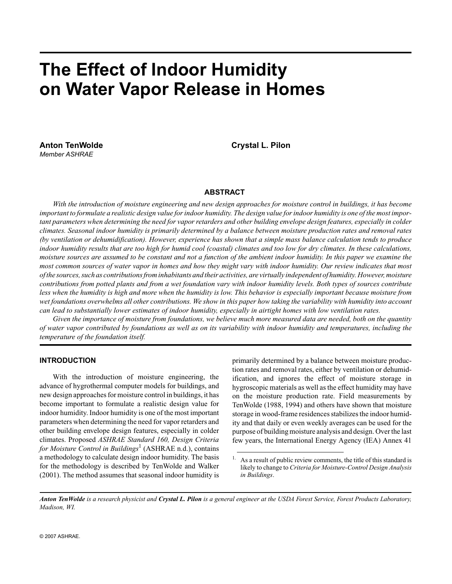# **The Effect of Indoor Humidity on Water Vapor Release in Homes**

Anton TenWolde **Crystal L. Pilon** *Member ASHRAE*

## **ABSTRACT**

*With the introduction of moisture engineering and new design approaches for moisture control in buildings, it has become important to formulate a realistic design value for indoor humidity. The design value for indoor humidity is one of the most important parameters when determining the need for vapor retarders and other building envelope design features, especially in colder climates. Seasonal indoor humidity is primarily determined by a balance between moisture production rates and removal rates (by ventilation or dehumidification). However, experience has shown that a simple mass balance calculation tends to produce indoor humidity results that are too high for humid cool (coastal) climates and too low for dry climates. In these calculations, moisture sources are assumed to be constant and not a function of the ambient indoor humidity. In this paper we examine the most common sources of water vapor in homes and how they might vary with indoor humidity. Our review indicates that most of the sources, such as contributions from inhabitants and their activities, are virtually independent of humidity. However, moisture contributions from potted plants and from a wet foundation vary with indoor humidity levels. Both types of sources contribute less when the humidity is high and more when the humidity is low. This behavior is especially important because moisture from wet foundations overwhelms all other contributions. We show in this paper how taking the variability with humidity into account can lead to substantially lower estimates of indoor humidity, especially in airtight homes with low ventilation rates.*

*Given the importance of moisture from foundations, we believe much more measured data are needed, both on the quantity of water vapor contributed by foundations as well as on its variability with indoor humidity and temperatures, including the temperature of the foundation itself.*

## **INTRODUCTION**

With the introduction of moisture engineering, the advance of hygrothermal computer models for buildings, and new design approaches for moisture control in buildings, it has become important to formulate a realistic design value for indoor humidity. Indoor humidity is one of the most important parameters when determining the need for vapor retarders and other building envelope design features, especially in colder climates. Proposed *ASHRAE Standard 160, Design Criteria* for Moisture Control in Buildings<sup>1</sup> (ASHRAE n.d.), contains a methodology to calculate design indoor humidity. The basis for the methodology is described by TenWolde and Walker (2001). The method assumes that seasonal indoor humidity is primarily determined by a balance between moisture production rates and removal rates, either by ventilation or dehumidification, and ignores the effect of moisture storage in hygroscopic materials as well as the effect humidity may have on the moisture production rate. Field measurements by TenWolde (1988, 1994) and others have shown that moisture storage in wood-frame residences stabilizes the indoor humidity and that daily or even weekly averages can be used for the purpose of building moisture analysis and design. Over the last few years, the International Energy Agency (IEA) Annex 41

<sup>&</sup>lt;sup>1.</sup> As a result of public review comments, the title of this standard is likely to change to *Criteria for Moisture-Control Design Analysis in Buildings*.

*Anton TenWolde is a research physicist and Crystal L. Pilon is a general engineer at the USDA Forest Service, Forest Products Laboratory, Madison, WI.*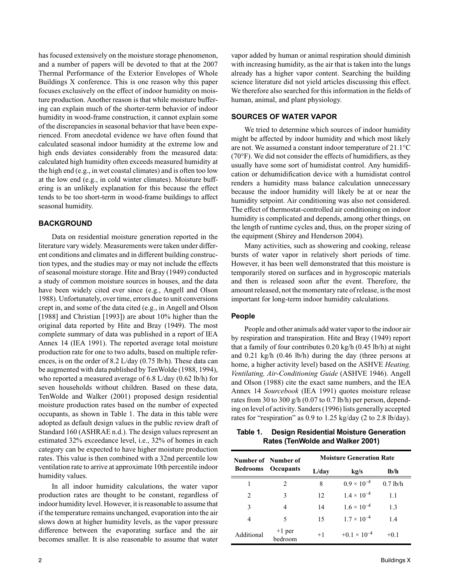has focused extensively on the moisture storage phenomenon, and a number of papers will be devoted to that at the 2007 Thermal Performance of the Exterior Envelopes of Whole Buildings X conference. This is one reason why this paper focuses exclusively on the effect of indoor humidity on moisture production. Another reason is that while moisture buffering can explain much of the shorter-term behavior of indoor humidity in wood-frame construction, it cannot explain some of the discrepancies in seasonal behavior that have been experienced. From anecdotal evidence we have often found that calculated seasonal indoor humidity at the extreme low and high ends deviates considerably from the measured data: calculated high humidity often exceeds measured humidity at the high end (e.g., in wet coastal climates) and is often too low at the low end (e.g., in cold winter climates). Moisture buffering is an unlikely explanation for this because the effect tends to be too short-term in wood-frame buildings to affect seasonal humidity.

# **BACKGROUND**

Data on residential moisture generation reported in the literature vary widely. Measurements were taken under different conditions and climates and in different building construction types, and the studies may or may not include the effects of seasonal moisture storage. Hite and Bray (1949) conducted a study of common moisture sources in houses, and the data have been widely cited ever since (e.g., Angell and Olson 1988). Unfortunately, over time, errors due to unit conversions crept in, and some of the data cited (e.g., in Angell and Olson [1988] and Christian [1993]) are about 10% higher than the original data reported by Hite and Bray (1949). The most complete summary of data was published in a report of IEA Annex 14 (IEA 1991). The reported average total moisture production rate for one to two adults, based on multiple references, is on the order of 8.2 L/day (0.75 lb/h). These data can be augmented with data published by TenWolde (1988, 1994), who reported a measured average of 6.8 L/day (0.62 lb/h) for seven households without children. Based on these data, TenWolde and Walker (2001) proposed design residential moisture production rates based on the number of expected occupants, as shown in Table 1. The data in this table were adopted as default design values in the public review draft of Standard 160 (ASHRAE n.d.). The design values represent an estimated 32% exceedance level, i.e., 32% of homes in each category can be expected to have higher moisture production rates. This value is then combined with a 32nd percentile low ventilation rate to arrive at approximate 10th percentile indoor humidity values.

In all indoor humidity calculations, the water vapor production rates are thought to be constant, regardless of indoor humidity level. However, it is reasonable to assume that if the temperature remains unchanged, evaporation into the air slows down at higher humidity levels, as the vapor pressure difference between the evaporating surface and the air becomes smaller. It is also reasonable to assume that water

vapor added by human or animal respiration should diminish with increasing humidity, as the air that is taken into the lungs already has a higher vapor content. Searching the building science literature did not yield articles discussing this effect. We therefore also searched for this information in the fields of human, animal, and plant physiology.

## **SOURCES OF WATER VAPOR**

We tried to determine which sources of indoor humidity might be affected by indoor humidity and which most likely are not. We assumed a constant indoor temperature of 21.1°C (70°F). We did not consider the effects of humidifiers, as they usually have some sort of humidistat control. Any humidification or dehumidification device with a humidistat control renders a humidity mass balance calculation unnecessary because the indoor humidity will likely be at or near the humidity setpoint. Air conditioning was also not considered. The effect of thermostat-controlled air conditioning on indoor humidity is complicated and depends, among other things, on the length of runtime cycles and, thus, on the proper sizing of the equipment (Shirey and Henderson 2004).

Many activities, such as showering and cooking, release bursts of water vapor in relatively short periods of time. However, it has been well demonstrated that this moisture is temporarily stored on surfaces and in hygroscopic materials and then is released soon after the event. Therefore, the amount released, not the momentary rate of release, is the most important for long-term indoor humidity calculations.

## **People**

People and other animals add water vapor to the indoor air by respiration and transpiration. Hite and Bray (1949) report that a family of four contributes 0.20 kg/h (0.45 lb/h) at night and 0.21 kg/h (0.46 lb/h) during the day (three persons at home, a higher activity level) based on the ASHVE *Heating, Ventilating, Air-Conditioning Guide* (ASHVE 1946). Angell and Olson (1988) cite the exact same numbers, and the IEA Annex 14 *Sourcebook* (IEA 1991) quotes moisture release rates from 30 to 300 g/h (0.07 to 0.7 lb/h) per person, depending on level of activity. Sanders (1996) lists generally accepted rates for "respiration" as 0.9 to 1.25 kg/day (2 to 2.8 lb/day).

# **Table 1. Design Residential Moisture Generation Rates (TenWolde and Walker 2001)**

| <b>Bedrooms</b> | Number of Number of<br><b>Occupants</b> | <b>Moisture Generation Rate</b> |                       |            |  |
|-----------------|-----------------------------------------|---------------------------------|-----------------------|------------|--|
|                 |                                         | L/day                           | kg/s                  | lb/h       |  |
|                 |                                         | 8                               | $0.9 \times 10^{-4}$  | $0.7$ lb/h |  |
| 2               | 3                                       | 12                              | $1.4 \times 10^{-4}$  | 1.1        |  |
| 3               | 4                                       | 14                              | $1.6 \times 10^{-4}$  | 1.3        |  |
| 4               | 5                                       | 15                              | $1.7 \times 10^{-4}$  | 1.4        |  |
| Additional      | $+1$ per<br>hedroom                     | $+1$                            | $+0.1 \times 10^{-4}$ | $+0.1$     |  |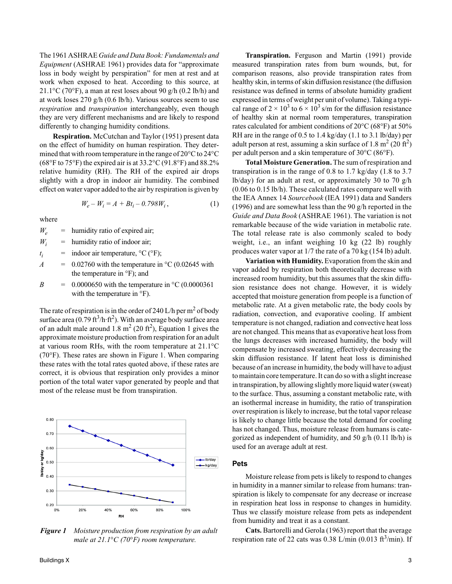The 1961 ASHRAE *Guide and Data Book: Fundamentals and Equipment* (ASHRAE 1961) provides data for "approximate loss in body weight by perspiration" for men at rest and at work when exposed to heat. According to this source, at 21.1 $\rm{°C}$  (70 $\rm{°F}$ ), a man at rest loses about 90 g/h (0.2 lb/h) and at work loses 270 g/h (0.6 lb/h). Various sources seem to use *respiration* and *transpiration* interchangeably, even though they are very different mechanisms and are likely to respond differently to changing humidity conditions.

**Respiration.** McCutchan and Taylor (1951) present data on the effect of humidity on human respiration. They determined that with room temperature in the range of 20°C to 24°C (68 $\degree$ F to 75 $\degree$ F) the expired air is at 33.2 $\degree$ C (91.8 $\degree$ F) and 88.2% relative humidity (RH). The RH of the expired air drops slightly with a drop in indoor air humidity. The combined effect on water vapor added to the air by respiration is given by

$$
W_e - W_i = A + Bt_i - 0.798W_i, \qquad (1)
$$

where

 $W_e$  = humidity ratio of expired air;

- $W_i$  = humidity ratio of indoor air;
- *ti* indoor air temperature,  $^{\circ}C$  ( $^{\circ}F$ );
- $A = 0.02760$  with the temperature in  $\degree$ C (0.02645 with the temperature in °F); and
- *B* =  $0.0000650$  with the temperature in  $\degree$ C (0.0000361 with the temperature in °F).

The rate of respiration is in the order of 240 L/h per m<sup>2</sup> of body surface area (0.79 ft $^3$ /h·ft $^2$ ). With an average body surface area of an adult male around  $1.8 \text{ m}^2$  (20 ft<sup>2</sup>), Equation 1 gives the approximate moisture production from respiration for an adult at various room RHs, with the room temperature at 21.1°C (70°F). These rates are shown in Figure 1. When comparing these rates with the total rates quoted above, if these rates are correct, it is obvious that respiration only provides a minor portion of the total water vapor generated by people and that most of the release must be from transpiration.



*Figure 1 Moisture production from respiration by an adult male at 21.1*°*C (70*°*F) room temperature.* 

**Transpiration.** Ferguson and Martin (1991) provide measured transpiration rates from burn wounds, but, for comparison reasons, also provide transpiration rates from healthy skin, in terms of skin diffusion resistance (the diffusion resistance was defined in terms of absolute humidity gradient expressed in terms of weight per unit of volume). Taking a typical range of 2  $\times$  10<sup>3</sup> to 6  $\times$  10<sup>3</sup> s/m for the diffusion resistance of healthy skin at normal room temperatures, transpiration rates calculated for ambient conditions of 20°C (68°F) at 50% RH are in the range of 0.5 to 1.4 kg/day (1.1 to 3.1 lb/day) per adult person at rest, assuming a skin surface of 1.8 m<sup>2</sup> (20 ft<sup>2</sup>) per adult person and a skin temperature of 30°C (86°F).

**Total Moisture Generation.** The sum of respiration and transpiration is in the range of 0.8 to 1.7 kg/day (1.8 to 3.7 lb/day) for an adult at rest, or approximately 30 to 70  $g/h$ (0.06 to 0.15 lb/h). These calculated rates compare well with the IEA Annex 14 *Sourcebook* (IEA 1991) data and Sanders (1996) and are somewhat less than the 90 g/h reported in the *Guide and Data Book* (ASHRAE 1961). The variation is not remarkable because of the wide variation in metabolic rate. The total release rate is also commonly scaled to body weight, i.e., an infant weighing 10 kg (22 lb) roughly produces water vapor at 1/7 the rate of a 70 kg (154 lb) adult.

**Variation with Humidity.** Evaporation from the skin and vapor added by respiration both theoretically decrease with increased room humidity, but this assumes that the skin diffusion resistance does not change. However, it is widely accepted that moisture generation from people is a function of metabolic rate. At a given metabolic rate, the body cools by radiation, convection, and evaporative cooling. If ambient temperature is not changed, radiation and convective heat loss are not changed. This means that as evaporative heat loss from the lungs decreases with increased humidity, the body will compensate by increased sweating, effectively decreasing the skin diffusion resistance. If latent heat loss is diminished because of an increase in humidity, the body will have to adjust to maintain core temperature. It can do so with a slight increase in transpiration, by allowing slightly more liquid water (sweat) to the surface. Thus, assuming a constant metabolic rate, with an isothermal increase in humidity, the ratio of transpiration over respiration is likely to increase, but the total vapor release is likely to change little because the total demand for cooling has not changed. Thus, moisture release from humans is categorized as independent of humidity, and 50 g/h (0.11 lb/h) is used for an average adult at rest.

#### **Pets**

Moisture release from pets is likely to respond to changes in humidity in a manner similar to release from humans: transpiration is likely to compensate for any decrease or increase in respiration heat loss in response to changes in humidity. Thus we classify moisture release from pets as independent from humidity and treat it as a constant.

**Cats.** Bartorelli and Gerola (1963) report that the average respiration rate of 22 cats was  $0.38$  L/min  $(0.013 \text{ ft}^3/\text{min})$ . If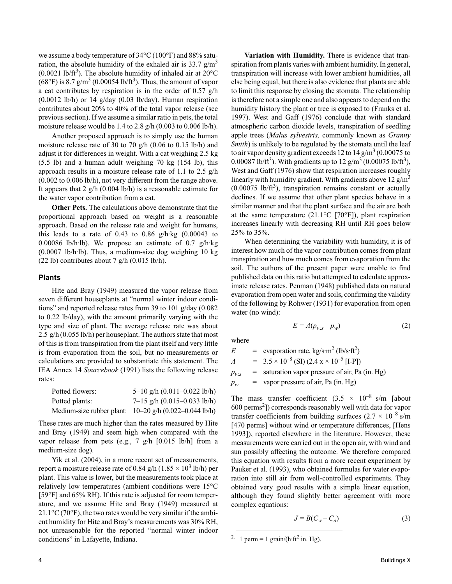we assume a body temperature of 34°C (100°F) and 88% saturation, the absolute humidity of the exhaled air is  $33.7 \text{ g/m}^3$  $(0.0021 \text{ lb/ft}^3)$ . The absolute humidity of inhaled air at 20°C  $(68^{\circ}\text{F})$  is 8.7 g/m<sup>3</sup> (0.00054 lb/ft<sup>3</sup>). Thus, the amount of vapor a cat contributes by respiration is in the order of 0.57 g/h  $(0.0012 \text{ lb/h})$  or 14 g/day  $(0.03 \text{ lb/day})$ . Human respiration contributes about 20% to 40% of the total vapor release (see previous section). If we assume a similar ratio in pets, the total moisture release would be 1.4 to 2.8 g/h (0.003 to 0.006 lb/h).

Another proposed approach is to simply use the human moisture release rate of 30 to 70 g/h (0.06 to 0.15 lb/h) and adjust it for differences in weight. With a cat weighing 2.5 kg (5.5 lb) and a human adult weighing 70 kg (154 lb), this approach results in a moisture release rate of 1.1 to 2.5 g/h (0.002 to 0.006 lb/h), not very different from the range above. It appears that  $2$  g/h (0.004 lb/h) is a reasonable estimate for the water vapor contribution from a cat.

**Other Pets.** The calculations above demonstrate that the proportional approach based on weight is a reasonable approach. Based on the release rate and weight for humans, this leads to a rate of  $0.43$  to  $0.86$  g/h·kg  $(0.00043$  to 0.00086 lb/h·lb). We propose an estimate of 0.7 g/h·kg (0.0007 lb/h·lb). Thus, a medium-size dog weighing 10 kg (22 lb) contributes about 7 g/h  $(0.015 \text{ lb/h})$ .

#### **Plants**

Hite and Bray (1949) measured the vapor release from seven different houseplants at "normal winter indoor conditions" and reported release rates from 39 to 101 g/day (0.082 to 0.22 lb/day), with the amount primarily varying with the type and size of plant. The average release rate was about 2.5 g/h (0.055 lb/h) per houseplant. The authors state that most of this is from transpiration from the plant itself and very little is from evaporation from the soil, but no measurements or calculations are provided to substantiate this statement. The IEA Annex 14 *Sourcebook* (1991) lists the following release rates:

| Potted flowers: | 5-10 g/h $(0.011 - 0.022$ lb/h)                            |
|-----------------|------------------------------------------------------------|
| Potted plants:  | $7-15$ g/h $(0.015-0.033$ lb/h)                            |
|                 | Medium-size rubber plant: $10-20$ g/h $(0.022-0.044$ lb/h) |

These rates are much higher than the rates measured by Hite and Bray (1949) and seem high when compared with the vapor release from pets (e.g., 7 g/h [0.015 lb/h] from a medium-size dog).

Yik et al. (2004), in a more recent set of measurements, report a moisture release rate of 0.84 g/h (1.85  $\times$  10<sup>3</sup> lb/h) per plant. This value is lower, but the measurements took place at relatively low temperatures (ambient conditions were 15°C [59°F] and 65% RH). If this rate is adjusted for room temperature, and we assume Hite and Bray (1949) measured at  $21.1\degree$ C (70 $\degree$ F), the two rates would be very similar if the ambient humidity for Hite and Bray's measurements was 30% RH, not unreasonable for the reported "normal winter indoor conditions" in Lafayette, Indiana.

**Variation with Humidity.** There is evidence that transpiration from plants varies with ambient humidity. In general, transpiration will increase with lower ambient humidities, all else being equal, but there is also evidence that plants are able to limit this response by closing the stomata. The relationship is therefore not a simple one and also appears to depend on the humidity history the plant or tree is exposed to (Franks et al. 1997). West and Gaff (1976) conclude that with standard atmospheric carbon dioxide levels, transpiration of seedling apple trees (*Malus sylvestris,* commonly known as *Granny Smith*) is unlikely to be regulated by the stomata until the leaf to air vapor density gradient exceeds 12 to 14 g/m<sup>3</sup> (0.00075 to 0.00087 lb/ft<sup>3</sup>). With gradients up to  $12 \text{ g/m}^3 (0.00075 \text{ lb/ft}^3)$ , West and Gaff (1976) show that respiration increases roughly linearly with humidity gradient. With gradients above  $12 \text{ g/m}^3$  $(0.00075 \text{ lb/ft}^3)$ , transpiration remains constant or actually declines. If we assume that other plant species behave in a similar manner and that the plant surface and the air are both at the same temperature  $(21.1^{\circ}\text{C}$  [70°F]), plant respiration increases linearly with decreasing RH until RH goes below 25% to 35%.

When determining the variability with humidity, it is of interest how much of the vapor contribution comes from plant transpiration and how much comes from evaporation from the soil. The authors of the present paper were unable to find published data on this ratio but attempted to calculate approximate release rates. Penman (1948) published data on natural evaporation from open water and soils, confirming the validity of the following by Rohwer (1931) for evaporation from open water (no wind):

$$
E = A(p_{w,s} - p_w) \tag{2}
$$

where

$$
E = \text{evaporation rate, kg/s} \cdot \text{m}^2 \text{ (lb/s} \cdot \text{ft}^2)
$$
  
\n
$$
A = 3.5 \times 10^{-8} \text{ (SI) } (2.4 \text{ x} \times 10^{-5} \text{ [I-P]})
$$
  
\n
$$
p_{w,s} = \text{saturation vapor pressure of air, Pa (in. Hg)}
$$

 $p_w$  = vapor pressure of air, Pa (in. Hg)

The mass transfer coefficient  $(3.5 \times 10^{-8} \text{ s/m})$  [about 600 perms<sup>2</sup>]) corresponds reasonably well with data for vapor transfer coefficients from building surfaces  $(2.7 \times 10^{-8} \text{ s/m})$ [470 perms] without wind or temperature differences, [Hens 1993]), reported elsewhere in the literature. However, these measurements were carried out in the open air, with wind and sun possibly affecting the outcome. We therefore compared this equation with results from a more recent experiment by Pauker et al. (1993), who obtained formulas for water evaporation into still air from well-controlled experiments. They obtained very good results with a simple linear equation, although they found slightly better agreement with more complex equations:

$$
J = B(C_w - C_a) \tag{3}
$$

<sup>&</sup>lt;sup>2.</sup> 1 perm = 1 grain/(h·ft<sup>2</sup>·in. Hg).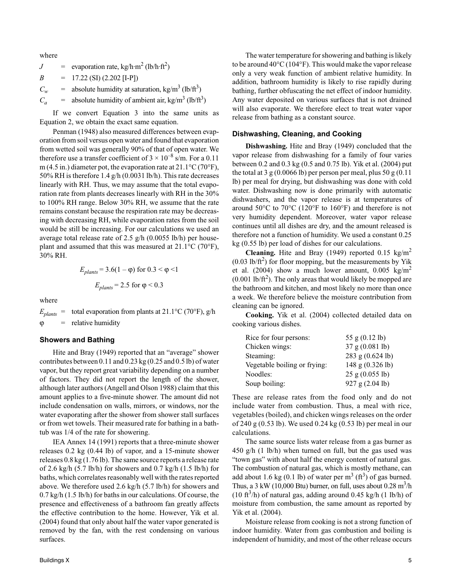where

$$
J = \text{evaporation rate}, \text{kg/h} \cdot \text{m}^2 \text{ (lb/h} \cdot \text{ft}^2\text{)}
$$

 $B = 17.22$  (SI) (2.202 [I-P])

 $C_w$  = absolute humidity at saturation, kg/m<sup>3</sup> (lb/ft<sup>3</sup>)

 $C_a$  = absolute humidity of ambient air, kg/m<sup>3</sup> (lb/ft<sup>3</sup>)

If we convert Equation 3 into the same units as Equation 2, we obtain the exact same equation.

Penman (1948) also measured differences between evaporation from soil versus open water and found that evaporation from wetted soil was generally 90% of that of open water. We therefore use a transfer coefficient of  $3 \times 10^{-8}$  s/m. For a 0.11 m (4.5 in.) diameter pot, the evaporation rate at  $21.1^{\circ}$ C (70 $^{\circ}$ F), 50% RH is therefore 1.4 g/h (0.0031 lb/h). This rate decreases linearly with RH. Thus, we may assume that the total evaporation rate from plants decreases linearly with RH in the 30% to 100% RH range. Below 30% RH, we assume that the rate remains constant because the respiration rate may be decreasing with decreasing RH, while evaporation rates from the soil would be still be increasing. For our calculations we used an average total release rate of 2.5  $g/h$  (0.0055 lb/h) per houseplant and assumed that this was measured at 21.1°C (70°F), 30% RH.

$$
E_{\text{plants}} = 3.6(1 - \varphi) \text{ for } 0.3 < \varphi < 1
$$
\n
$$
E_{\text{plants}} = 2.5 \text{ for } \varphi < 0.3
$$

where

 $E_{\text{plants}} = \text{total evaporation from plants at } 21.1 \text{°C } (70 \text{°F}), \text{g/h}$  $=$  relative humidity

#### **Showers and Bathing**

Hite and Bray (1949) reported that an "average" shower contributes between 0.11 and 0.23 kg (0.25 and 0.5 lb) of water vapor, but they report great variability depending on a number of factors. They did not report the length of the shower, although later authors (Angell and Olson 1988) claim that this amount applies to a five-minute shower. The amount did not include condensation on walls, mirrors, or windows, nor the water evaporating after the shower from shower stall surfaces or from wet towels. Their measured rate for bathing in a bathtub was 1/4 of the rate for showering.

IEA Annex 14 (1991) reports that a three-minute shower releases 0.2 kg (0.44 lb) of vapor, and a 15-minute shower releases 0.8 kg (1.76 lb). The same source reports a release rate of 2.6 kg/h  $(5.7 \text{ lb/h})$  for showers and 0.7 kg/h  $(1.5 \text{ lb/h})$  for baths, which correlates reasonably well with the rates reported above. We therefore used 2.6 kg/h (5.7 lb/h) for showers and 0.7 kg/h (1.5 lb/h) for baths in our calculations. Of course, the presence and effectiveness of a bathroom fan greatly affects the effective contribution to the home. However, Yik et al. (2004) found that only about half the water vapor generated is removed by the fan, with the rest condensing on various surfaces.

The water temperature for showering and bathing is likely to be around 40°C (104°F). This would make the vapor release only a very weak function of ambient relative humidity. In addition, bathroom humidity is likely to rise rapidly during bathing, further obfuscating the net effect of indoor humidity. Any water deposited on various surfaces that is not drained will also evaporate. We therefore elect to treat water vapor release from bathing as a constant source.

#### **Dishwashing, Cleaning, and Cooking**

**Dishwashing.** Hite and Bray (1949) concluded that the vapor release from dishwashing for a family of four varies between 0.2 and 0.3 kg (0.5 and 0.75 lb). Yik et al. (2004) put the total at 3 g  $(0.0066 \text{ lb})$  per person per meal, plus 50 g  $(0.11)$ lb) per meal for drying, but dishwashing was done with cold water. Dishwashing now is done primarily with automatic dishwashers, and the vapor release is at temperatures of around 50°C to 70°C (120°F to 160°F) and therefore is not very humidity dependent. Moreover, water vapor release continues until all dishes are dry, and the amount released is therefore not a function of humidity. We used a constant 0.25 kg (0.55 lb) per load of dishes for our calculations.

**Cleaning.** Hite and Bray (1949) reported 0.15  $\text{kg/m}^2$  $(0.03 \text{ lb/ft}^2)$  for floor mopping, but the measurements by Yik et al. (2004) show a much lower amount,  $0.005 \text{ kg/m}^2$  $(0.001 \text{ lb/ft}^2)$ . The only areas that would likely be mopped are the bathroom and kitchen, and most likely no more than once a week. We therefore believe the moisture contribution from cleaning can be ignored.

**Cooking.** Yik et al. (2004) collected detailed data on cooking various dishes.

| Rice for four persons:       | 55 g $(0.12$ lb)    |
|------------------------------|---------------------|
| Chicken wings:               | 37 g (0.081 lb)     |
| Steaming:                    | 283 g (0.624 lb)    |
| Vegetable boiling or frying: | 148 g (0.326 lb)    |
| Noodles:                     | $25$ g $(0.055$ lb) |
| Soup boiling:                | 927 g (2.04 lb)     |

These are release rates from the food only and do not include water from combustion. Thus, a meal with rice, vegetables (boiled), and chicken wings releases on the order of 240 g (0.53 lb). We used 0.24 kg (0.53 lb) per meal in our calculations.

The same source lists water release from a gas burner as 450 g/h (1 lb/h) when turned on full, but the gas used was "town gas" with about half the energy content of natural gas. The combustion of natural gas, which is mostly methane, can add about 1.6 kg (0.1 lb) of water per  $m^3$  (ft<sup>3</sup>) of gas burned. Thus, a 3 kW (10,000 Btu) burner, on full, uses about  $0.28 \text{ m}^3/\text{h}$ (10 ft<sup>3</sup>/h) of natural gas, adding around 0.45 kg/h (1 lb/h) of moisture from combustion, the same amount as reported by Yik et al. (2004).

Moisture release from cooking is not a strong function of indoor humidity. Water from gas combustion and boiling is independent of humidity, and most of the other release occurs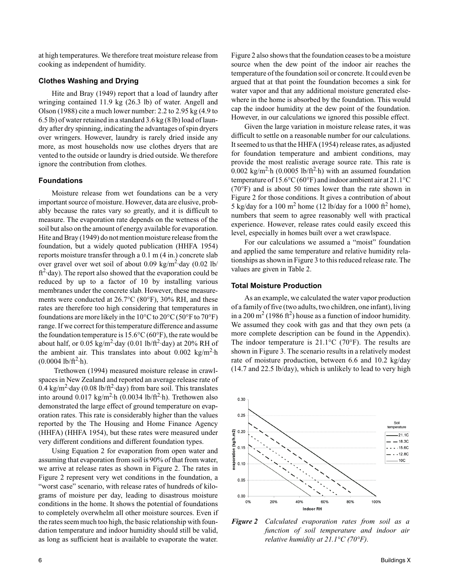at high temperatures. We therefore treat moisture release from cooking as independent of humidity.

# **Clothes Washing and Drying**

Hite and Bray (1949) report that a load of laundry after wringing contained 11.9 kg (26.3 lb) of water. Angell and Olson (1988) cite a much lower number: 2.2 to 2.95 kg (4.9 to 6.5 lb) of water retained in a standard 3.6 kg (8 lb) load of laundry after dry spinning, indicating the advantages of spin dryers over wringers. However, laundry is rarely dried inside any more, as most households now use clothes dryers that are vented to the outside or laundry is dried outside. We therefore ignore the contribution from clothes.

#### **Foundations**

Moisture release from wet foundations can be a very important source of moisture. However, data are elusive, probably because the rates vary so greatly, and it is difficult to measure. The evaporation rate depends on the wetness of the soil but also on the amount of energy available for evaporation. Hite and Bray (1949) do not mention moisture release from the foundation, but a widely quoted publication (HHFA 1954) reports moisture transfer through a 0.1 m (4 in.) concrete slab over gravel over wet soil of about 0.09 kg/m<sup>2</sup>·day (0.02 lb/  $ft<sup>2</sup>$  day). The report also showed that the evaporation could be reduced by up to a factor of 10 by installing various membranes under the concrete slab. However, these measurements were conducted at 26.7°C (80°F), 30% RH, and these rates are therefore too high considering that temperatures in foundations are more likely in the  $10^{\circ}$ C to  $20^{\circ}$ C (50 $^{\circ}$ F to  $70^{\circ}$ F) range. If we correct for this temperature difference and assume the foundation temperature is  $15.6^{\circ}$ C (60°F), the rate would be about half, or  $0.05 \text{ kg/m}^2$  day  $(0.01 \text{ lb/ft}^2$  day) at 20% RH of the ambient air. This translates into about  $0.002 \text{ kg/m}^2$  h  $(0.0004 \text{ lb/ft}^2 \cdot h).$ 

 Trethowen (1994) measured moisture release in crawlspaces in New Zealand and reported an average release rate of 0.4 kg/m<sup>2</sup>·day (0.08 lb/ft<sup>2</sup>·day) from bare soil. This translates into around  $0.017 \text{ kg/m}^2 \cdot h$  (0.0034 lb/ft<sup>2</sup> $\cdot$ h). Trethowen also demonstrated the large effect of ground temperature on evaporation rates. This rate is considerably higher than the values reported by the The Housing and Home Finance Agency (HHFA) (HHFA 1954), but these rates were measured under very different conditions and different foundation types.

Using Equation 2 for evaporation from open water and assuming that evaporation from soil is 90% of that from water, we arrive at release rates as shown in Figure 2. The rates in Figure 2 represent very wet conditions in the foundation, a "worst case" scenario, with release rates of hundreds of kilograms of moisture per day, leading to disastrous moisture conditions in the home. It shows the potential of foundations to completely overwhelm all other moisture sources. Even if the rates seem much too high, the basic relationship with foundation temperature and indoor humidity should still be valid, as long as sufficient heat is available to evaporate the water.

Figure 2 also shows that the foundation ceases to be a moisture source when the dew point of the indoor air reaches the temperature of the foundation soil or concrete. It could even be argued that at that point the foundation becomes a sink for water vapor and that any additional moisture generated elsewhere in the home is absorbed by the foundation. This would cap the indoor humidity at the dew point of the foundation. However, in our calculations we ignored this possible effect.

Given the large variation in moisture release rates, it was difficult to settle on a reasonable number for our calculations. It seemed to us that the HHFA (1954) release rates, as adjusted for foundation temperature and ambient conditions, may provide the most realistic average source rate. This rate is 0.002 kg/m<sup>2</sup>·h (0.0005 lb/ft<sup>2</sup>·h) with an assumed foundation temperature of 15.6°C (60°F) and indoor ambient air at 21.1°C (70°F) and is about 50 times lower than the rate shown in Figure 2 for those conditions. It gives a contribution of about 5 kg/day for a 100 m<sup>2</sup> home (12 lb/day for a 1000 ft<sup>2</sup> home), numbers that seem to agree reasonably well with practical experience. However, release rates could easily exceed this level, especially in homes built over a wet crawlspace.

For our calculations we assumed a "moist" foundation and applied the same temperature and relative humidity relationships as shown in Figure 3 to this reduced release rate. The values are given in Table 2.

#### **Total Moisture Production**

As an example, we calculated the water vapor production of a family of five (two adults, two children, one infant), living in a 200 m<sup>2</sup> (1986 ft<sup>2</sup>) house as a function of indoor humidity. We assumed they cook with gas and that they own pets (a more complete description can be found in the Appendix). The indoor temperature is  $21.1^{\circ}$ C (70 $^{\circ}$ F). The results are shown in Figure 3. The scenario results in a relatively modest rate of moisture production, between 6.6 and 10.2 kg/day (14.7 and 22.5 lb/day), which is unlikely to lead to very high



*Figure 2 Calculated evaporation rates from soil as a function of soil temperature and indoor air relative humidity at 21.1°C (70°F).*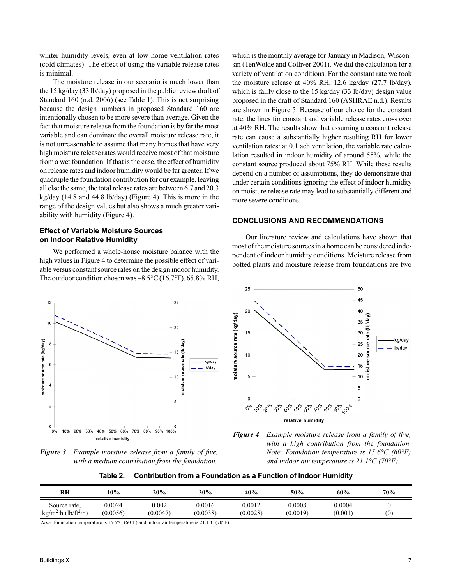winter humidity levels, even at low home ventilation rates (cold climates). The effect of using the variable release rates is minimal.

The moisture release in our scenario is much lower than the 15 kg/day (33 lb/day) proposed in the public review draft of Standard 160 (n.d. 2006) (see Table 1). This is not surprising because the design numbers in proposed Standard 160 are intentionally chosen to be more severe than average. Given the fact that moisture release from the foundation is by far the most variable and can dominate the overall moisture release rate, it is not unreasonable to assume that many homes that have very high moisture release rates would receive most of that moisture from a wet foundation. If that is the case, the effect of humidity on release rates and indoor humidity would be far greater. If we quadruple the foundation contribution for our example, leaving all else the same, the total release rates are between 6.7 and 20.3 kg/day (14.8 and 44.8 lb/day) (Figure 4). This is more in the range of the design values but also shows a much greater variability with humidity (Figure 4).

# **Effect of Variable Moisture Sources on Indoor Relative Humidity**

We performed a whole-house moisture balance with the high values in Figure 4 to determine the possible effect of variable versus constant source rates on the design indoor humidity. The outdoor condition chosen was –8.5°C (16.7°F), 65.8% RH,



*Figure 3 Example moisture release from a family of five, with a medium contribution from the foundation.*

which is the monthly average for January in Madison, Wisconsin (TenWolde and Colliver 2001). We did the calculation for a variety of ventilation conditions. For the constant rate we took the moisture release at 40% RH, 12.6 kg/day (27.7 lb/day), which is fairly close to the 15 kg/day (33 lb/day) design value proposed in the draft of Standard 160 (ASHRAE n.d.). Results are shown in Figure 5. Because of our choice for the constant rate, the lines for constant and variable release rates cross over at 40% RH. The results show that assuming a constant release rate can cause a substantially higher resulting RH for lower ventilation rates: at 0.1 ach ventilation, the variable rate calculation resulted in indoor humidity of around 55%, while the constant source produced about 75% RH. While these results depend on a number of assumptions, they do demonstrate that under certain conditions ignoring the effect of indoor humidity on moisture release rate may lead to substantially different and more severe conditions.

# **CONCLUSIONS AND RECOMMENDATIONS**

Our literature review and calculations have shown that most of the moisture sources in a home can be considered independent of indoor humidity conditions. Moisture release from potted plants and moisture release from foundations are two





**Table 2. Contribution from a Foundation as a Function of Indoor Humidity**

| RH                                           | 10%      | 20%      | 30%      | 40%      | 50%      | 60%     | 70%               |
|----------------------------------------------|----------|----------|----------|----------|----------|---------|-------------------|
| Source rate,                                 | 0.0024   | 0.002    | 0.0016   | 0.0012   | 0.0008   | 0.0004  | $\left( 0\right)$ |
| kg/m <sup>2</sup> ·h (lb/ft <sup>2</sup> ·h) | (0.0056) | (0.0047) | (0.0038) | (0.0028) | (0.0019) | (0.001) |                   |

*Note:* foundation temperature is 15.6°C (60°F) and indoor air temperature is 21.1°C (70°F).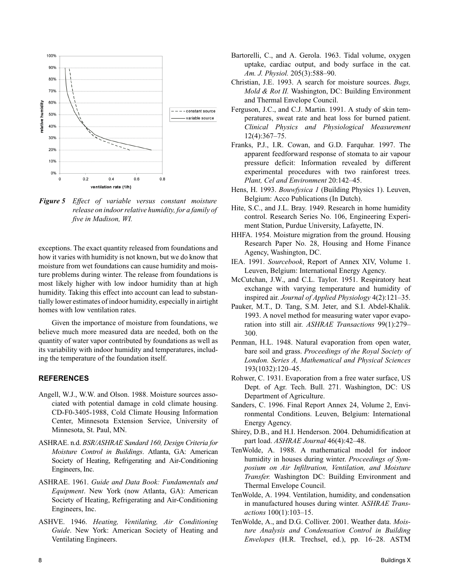

*Figure 5 Effect of variable versus constant moisture release on indoor relative humidity, for a family of five in Madison, WI.*

exceptions. The exact quantity released from foundations and how it varies with humidity is not known, but we do know that moisture from wet foundations can cause humidity and moisture problems during winter. The release from foundations is most likely higher with low indoor humidity than at high humidity. Taking this effect into account can lead to substantially lower estimates of indoor humidity, especially in airtight homes with low ventilation rates.

Given the importance of moisture from foundations, we believe much more measured data are needed, both on the quantity of water vapor contributed by foundations as well as its variability with indoor humidity and temperatures, including the temperature of the foundation itself.

# **REFERENCES**

- Angell, W.J., W.W. and Olson. 1988. Moisture sources associated with potential damage in cold climate housing. CD-F0-3405-1988, Cold Climate Housing Information Center, Minnesota Extension Service, University of Minnesota, St. Paul, MN.
- ASHRAE. n.d. *BSR/ASHRAE Sandard 160, Design Criteria for Moisture Control in Buildings*. Atlanta, GA: American Society of Heating, Refrigerating and Air-Conditioning Engineers, Inc.
- ASHRAE. 1961. *Guide and Data Book: Fundamentals and Equipment*. New York (now Atlanta, GA): American Society of Heating, Refrigerating and Air-Conditioning Engineers, Inc.
- ASHVE. 1946. *Heating, Ventilating, Air Conditioning Guide*. New York: American Society of Heating and Ventilating Engineers.
- Bartorelli, C., and A. Gerola. 1963. Tidal volume, oxygen uptake, cardiac output, and body surface in the cat. *Am. J. Physiol.* 205(3):588–90.
- Christian, J.E. 1993. A search for moisture sources. *Bugs, Mold & Rot II.* Washington, DC: Building Environment and Thermal Envelope Council.
- Ferguson, J.C., and C.J. Martin. 1991. A study of skin temperatures, sweat rate and heat loss for burned patient. *Clinical Physics and Physiological Measurement* 12(4):367–75.
- Franks, P.J., I.R. Cowan, and G.D. Farquhar. 1997. The apparent feedforward response of stomata to air vapour pressure deficit: Information revealed by different experimental procedures with two rainforest trees. *Plant, Cel and Environment* 20:142–45.
- Hens, H. 1993. *Bouwfysica 1* (Building Physics 1). Leuven, Belgium: Acco Publications (In Dutch).
- Hite, S.C., and J.L. Bray. 1949. Research in home humidity control. Research Series No. 106, Engineering Experiment Station, Purdue University, Lafayette, IN.
- HHFA. 1954. Moisture migration from the ground. Housing Research Paper No. 28, Housing and Home Finance Agency, Washington, DC.
- IEA. 1991. *Sourcebook*, Report of Annex XIV, Volume 1. Leuven, Belgium: International Energy Agency.
- McCutchan, J.W., and C.L. Taylor. 1951. Respiratory heat exchange with varying temperature and humidity of inspired air. *Journal of Applied Physiology* 4(2):121–35.
- Pauker, M.T., D. Tang, S.M. Jeter, and S.I. Abdel-Khalik. 1993. A novel method for measuring water vapor evaporation into still air. *ASHRAE Transactions* 99(1):279– 300.
- Penman, H.L. 1948. Natural evaporation from open water, bare soil and grass. *Proceedings of the Royal Society of London. Series A, Mathematical and Physical Sciences* 193(1032):120–45.
- Rohwer, C. 1931. Evaporation from a free water surface, US Dept. of Agr. Tech. Bull. 271. Washington, DC: US Department of Agriculture.
- Sanders, C. 1996. Final Report Annex 24, Volume 2, Environmental Conditions. Leuven, Belgium: International Energy Agency.
- Shirey, D.B., and H.I. Henderson. 2004. Dehumidification at part load. *ASHRAE Journal* 46(4):42–48.
- TenWolde, A. 1988. A mathematical model for indoor humidity in houses during winter. *Proceedings of Symposium on Air Infiltration, Ventilation, and Moisture Transfer.* Washington DC: Building Environment and Thermal Envelope Council.
- TenWolde, A. 1994. Ventilation, humidity, and condensation in manufactured houses during winter. A*SHRAE Transactions* 100(1):103–15.
- TenWolde, A., and D.G. Colliver. 2001. Weather data. *Moisture Analysis and Condensation Control in Building Envelopes* (H.R. Trechsel, ed.), pp. 16–28. ASTM